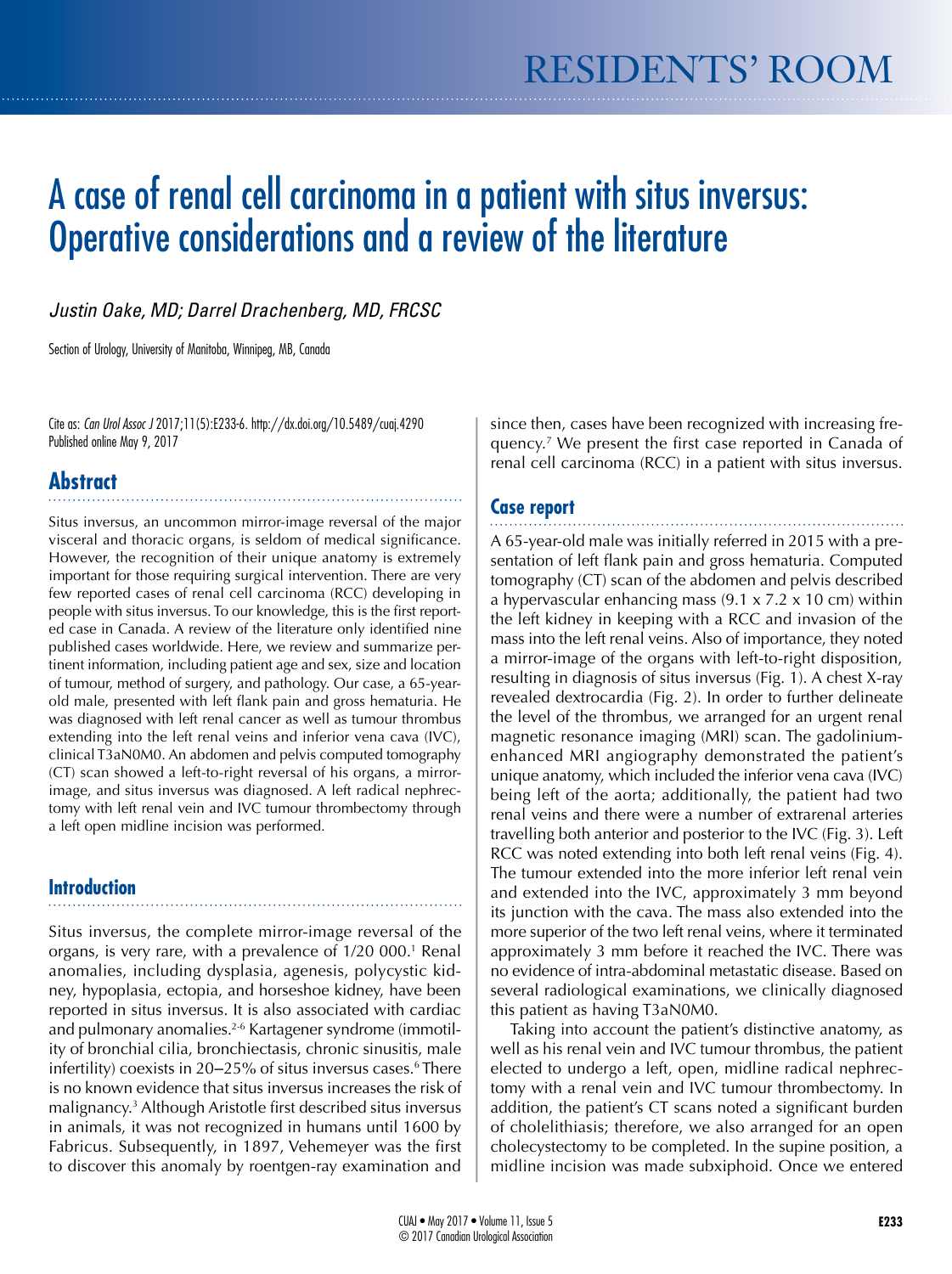# A case of renal cell carcinoma in a patient with situs inversus: Operative considerations and a review of the literature

*Justin Oake, MD; Darrel Drachenberg, MD, FRCSC*

Section of Urology, University of Manitoba, Winnipeg, MB, Canada

Cite as: *Can Urol Assoc J* 2017;11(5):E233-6. http://dx.doi.org/10.5489/cuaj.4290 Published online May 9, 2017

## **Abstract**

Situs inversus, an uncommon mirror-image reversal of the major visceral and thoracic organs, is seldom of medical significance. However, the recognition of their unique anatomy is extremely important for those requiring surgical intervention. There are very few reported cases of renal cell carcinoma (RCC) developing in people with situs inversus. To our knowledge, this is the first reported case in Canada. A review of the literature only identified nine published cases worldwide. Here, we review and summarize pertinent information, including patient age and sex, size and location of tumour, method of surgery, and pathology. Our case, a 65-yearold male, presented with left flank pain and gross hematuria. He was diagnosed with left renal cancer as well as tumour thrombus extending into the left renal veins and inferior vena cava (IVC), clinical T3aN0M0. An abdomen and pelvis computed tomography (CT) scan showed a left-to-right reversal of his organs, a mirrorimage, and situs inversus was diagnosed. A left radical nephrectomy with left renal vein and IVC tumour thrombectomy through a left open midline incision was performed.

## **Introduction**

Situs inversus, the complete mirror-image reversal of the organs, is very rare, with a prevalence of 1/20 000.<sup>1</sup> Renal anomalies, including dysplasia, agenesis, polycystic kidney, hypoplasia, ectopia, and horseshoe kidney, have been reported in situs inversus. It is also associated with cardiac and pulmonary anomalies.<sup>2-6</sup> Kartagener syndrome (immotility of bronchial cilia, bronchiectasis, chronic sinusitis, male infertility) coexists in 20–25% of situs inversus cases.<sup>6</sup> There is no known evidence that situs inversus increases the risk of malignancy.3 Although Aristotle first described situs inversus in animals, it was not recognized in humans until 1600 by Fabricus. Subsequently, in 1897, Vehemeyer was the first to discover this anomaly by roentgen-ray examination and

since then, cases have been recognized with increasing frequency.7 We present the first case reported in Canada of renal cell carcinoma (RCC) in a patient with situs inversus.

## **Case report**

A 65-year-old male was initially referred in 2015 with a presentation of left flank pain and gross hematuria. Computed tomography (CT) scan of the abdomen and pelvis described a hypervascular enhancing mass  $(9.1 \times 7.2 \times 10 \text{ cm})$  within the left kidney in keeping with a RCC and invasion of the mass into the left renal veins. Also of importance, they noted a mirror-image of the organs with left-to-right disposition, resulting in diagnosis of situs inversus (Fig. 1). A chest X-ray revealed dextrocardia (Fig. 2). In order to further delineate the level of the thrombus, we arranged for an urgent renal magnetic resonance imaging (MRI) scan. The gadoliniumenhanced MRI angiography demonstrated the patient's unique anatomy, which included the inferior vena cava (IVC) being left of the aorta; additionally, the patient had two renal veins and there were a number of extrarenal arteries travelling both anterior and posterior to the IVC (Fig. 3). Left RCC was noted extending into both left renal veins (Fig. 4). The tumour extended into the more inferior left renal vein and extended into the IVC, approximately 3 mm beyond its junction with the cava. The mass also extended into the more superior of the two left renal veins, where it terminated approximately 3 mm before it reached the IVC. There was no evidence of intra-abdominal metastatic disease. Based on several radiological examinations, we clinically diagnosed this patient as having T3aN0M0.

Taking into account the patient's distinctive anatomy, as well as his renal vein and IVC tumour thrombus, the patient elected to undergo a left, open, midline radical nephrectomy with a renal vein and IVC tumour thrombectomy. In addition, the patient's CT scans noted a significant burden of cholelithiasis; therefore, we also arranged for an open cholecystectomy to be completed. In the supine position, a midline incision was made subxiphoid. Once we entered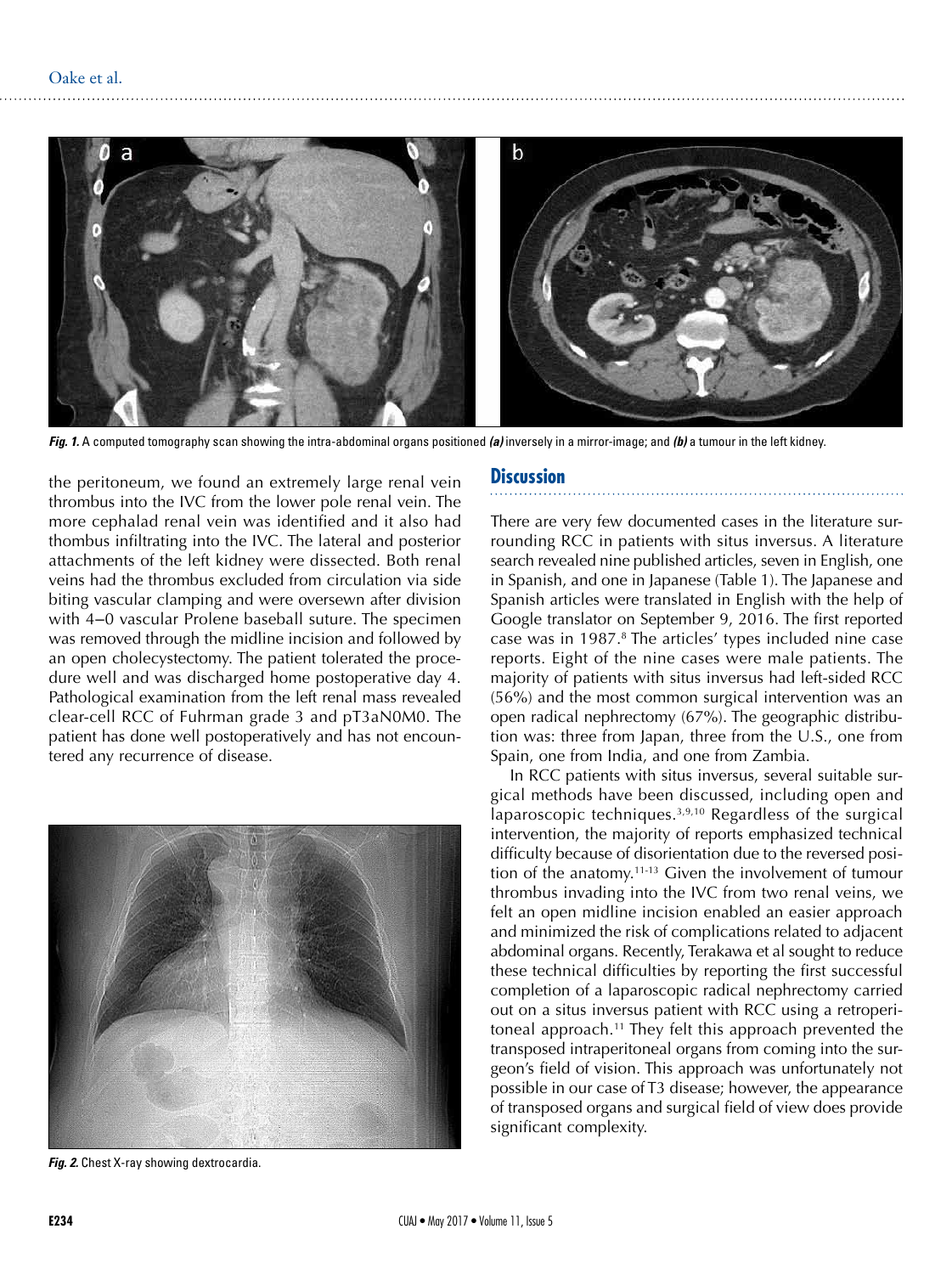

*Fig. 1.* A computed tomography scan showing the intra-abdominal organs positioned *(a)* inversely in a mirror-image; and *(b)* a tumour in the left kidney.

the peritoneum, we found an extremely large renal vein thrombus into the IVC from the lower pole renal vein. The more cephalad renal vein was identified and it also had thombus infiltrating into the IVC. The lateral and posterior attachments of the left kidney were dissected. Both renal veins had the thrombus excluded from circulation via side biting vascular clamping and were oversewn after division with 4-0 vascular Prolene baseball suture. The specimen was removed through the midline incision and followed by an open cholecystectomy. The patient tolerated the procedure well and was discharged home postoperative day 4. Pathological examination from the left renal mass revealed clear-cell RCC of Fuhrman grade 3 and pT3aN0M0. The patient has done well postoperatively and has not encountered any recurrence of disease.



*Fig. 2.* Chest X-ray showing dextrocardia.

#### **Discussion**

There are very few documented cases in the literature surrounding RCC in patients with situs inversus. A literature search revealed nine published articles, seven in English, one in Spanish, and one in Japanese (Table 1). The Japanese and Spanish articles were translated in English with the help of Google translator on September 9, 2016. The first reported case was in 1987.<sup>8</sup> The articles' types included nine case reports. Eight of the nine cases were male patients. The majority of patients with situs inversus had left-sided RCC (56%) and the most common surgical intervention was an open radical nephrectomy (67%). The geographic distribution was: three from Japan, three from the U.S., one from Spain, one from India, and one from Zambia.

In RCC patients with situs inversus, several suitable surgical methods have been discussed, including open and laparoscopic techniques.3,9,10 Regardless of the surgical intervention, the majority of reports emphasized technical difficulty because of disorientation due to the reversed position of the anatomy.11-13 Given the involvement of tumour thrombus invading into the IVC from two renal veins, we felt an open midline incision enabled an easier approach and minimized the risk of complications related to adjacent abdominal organs. Recently, Terakawa et al sought to reduce these technical difficulties by reporting the first successful completion of a laparoscopic radical nephrectomy carried out on a situs inversus patient with RCC using a retroperitoneal approach.11 They felt this approach prevented the transposed intraperitoneal organs from coming into the surgeon's field of vision. This approach was unfortunately not possible in our case of T3 disease; however, the appearance of transposed organs and surgical field of view does provide significant complexity.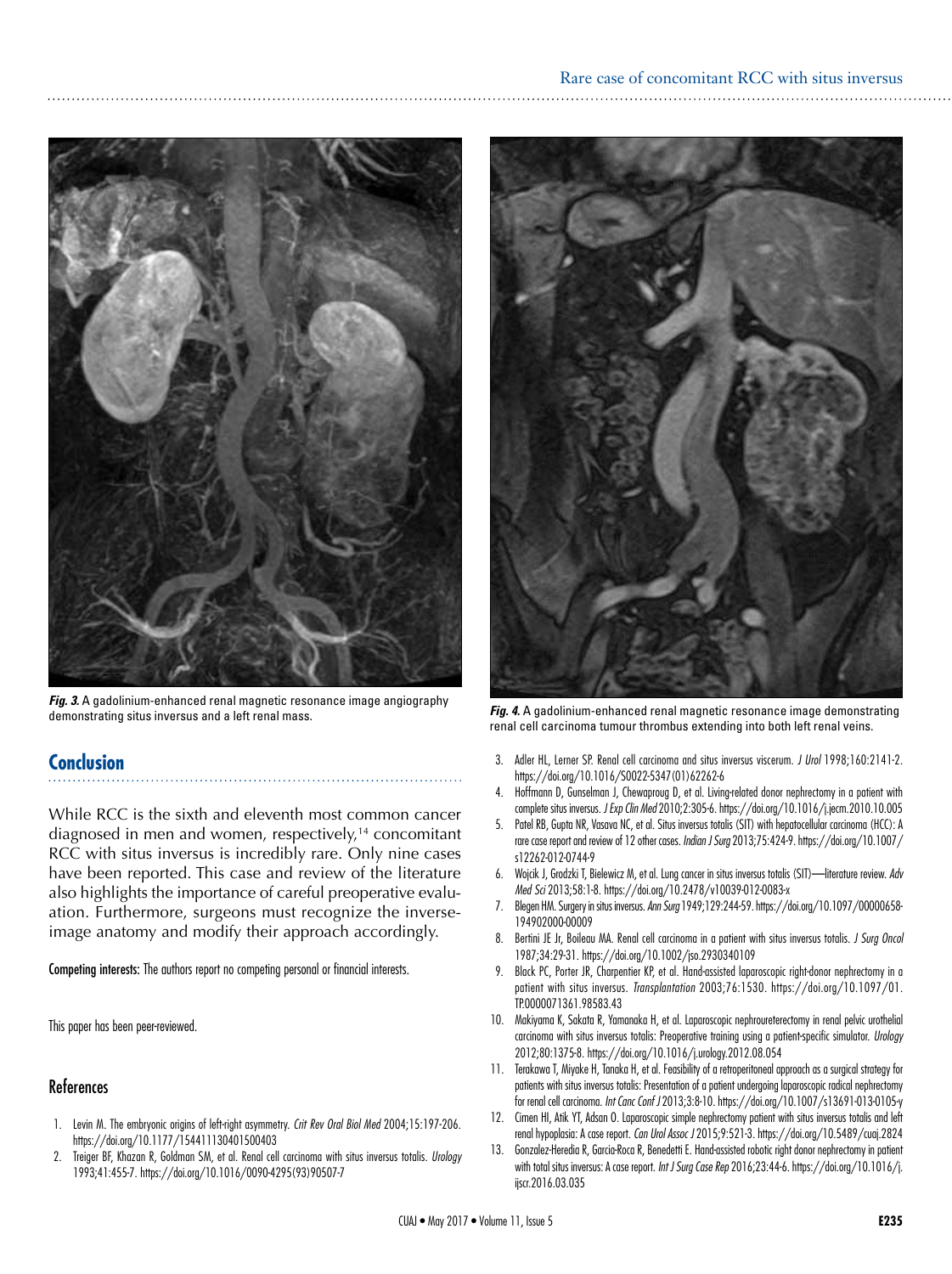### Rare case of concomitant RCC with situs inversus



*Fig. 3.* A gadolinium-enhanced renal magnetic resonance image angiography demonstrating situs inversus and a left renal mass. *Fig. 4.* A gadolinium-enhanced renal magnetic resonance image demonstrating

## **Conclusion**

While RCC is the sixth and eleventh most common cancer diagnosed in men and women, respectively,<sup>14</sup> concomitant RCC with situs inversus is incredibly rare. Only nine cases have been reported. This case and review of the literature also highlights the importance of careful preoperative evaluation. Furthermore, surgeons must recognize the inverseimage anatomy and modify their approach accordingly.

Competing interests: The authors report no competing personal or financial interests.

This paper has been peer-reviewed.

## References

- 1. Levin M. The embryonic origins of left-right asymmetry. *Crit Rev Oral Biol Med* 2004;15:197-206. https://doi.org/10.1177/154411130401500403
- 2. Treiger BF, Khazan R, Goldman SM, et al. Renal cell carcinoma with situs inversus totalis. *Urology* 1993;41:455-7. https://doi.org/10.1016/0090-4295(93)90507-7



renal cell carcinoma tumour thrombus extending into both left renal veins.

- 3. Adler HL, Lerner SP. Renal cell carcinoma and situs inversus viscerum. *J Urol* 1998;160:2141-2. https://doi.org/10.1016/S0022-5347(01)62262-6
- 4. Hoffmann D, Gunselman J, Chewaproug D, et al. Living-related donor nephrectomy in a patient with complete situs inversus. *J Exp Clin Med* 2010;2:305-6. https://doi.org/10.1016/j.jecm.2010.10.005
- 5. Patel RB, Gupta NR, Vasava NC, et al. Situs inversus totalis (SIT) with hepatocellular carcinoma (HCC): A rare case report and review of 12 other cases. *Indian J Surg* 2013;75:424-9. https://doi.org/10.1007/ s12262-012-0744-9
- 6. Wojcik J, Grodzki T, Bielewicz M, et al. Lung cancer in situs inversus totalis (SIT)—literature review. *Adv Med Sci* 2013;58:1-8. https://doi.org/10.2478/v10039-012-0083-x
- 7. Blegen HM. Surgery in situs inversus. *Ann Surg* 1949;129:244-59. https://doi.org/10.1097/00000658- 194902000-00009
- 8. Bertini JE Jr, Boileau MA. Renal cell carcinoma in a patient with situs inversus totalis. *J Surg Oncol*  1987;34:29-31. https://doi.org/10.1002/jso.2930340109
- 9. Black PC, Porter JR, Charpentier KP, et al. Hand-assisted laparoscopic right-donor nephrectomy in a patient with situs inversus. *Transplantation* 2003;76:1530. https://doi.org/10.1097/01. TP.0000071361.98583.43
- 10. Makiyama K, Sakata R, Yamanaka H, et al. Laparoscopic nephroureterectomy in renal pelvic urothelial carcinoma with situs inversus totalis: Preoperative training using a patient-specific simulator. *Urology* 2012;80:1375-8. https://doi.org/10.1016/j.urology.2012.08.054
- 11. Terakawa T, Miyake H, Tanaka H, et al. Feasibility of a retroperitoneal approach as a surgical strategy for patients with situs inversus totalis: Presentation of a patient undergoing laparoscopic radical nephrectomy for renal cell carcinoma. *Int Canc Conf J* 2013;3:8-10. https://doi.org/10.1007/s13691-013-0105-y
- 12. Cimen HI, Atik YT, Adsan O. Laparoscopic simple nephrectomy patient with situs inversus totalis and left renal hypoplasia: A case report. *Can Urol Assoc J* 2015;9:521-3. https://doi.org/10.5489/cuaj.2824
- 13. Gonzalez-Heredia R, Garcia-Roca R, Benedetti E. Hand-assisted robotic right donor nephrectomy in patient with total situs inversus: A case report. *Int J Surg Case Rep* 2016;23:44-6. https://doi.org/10.1016/j. ijscr.2016.03.035